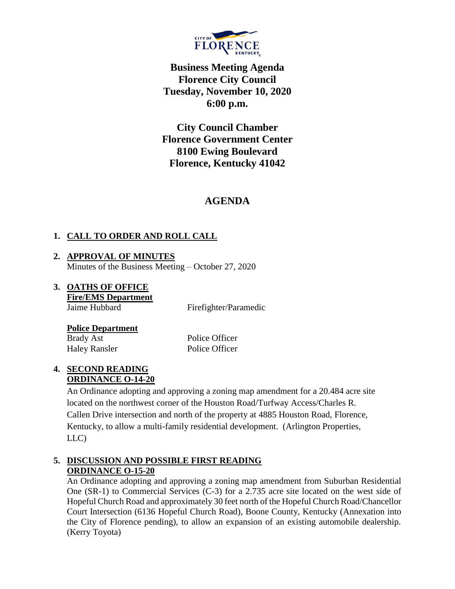

**Business Meeting Agenda Florence City Council Tuesday, November 10, 2020 6:00 p.m.**

**City Council Chamber Florence Government Center 8100 Ewing Boulevard Florence, Kentucky 41042**

# **AGENDA**

## **1. CALL TO ORDER AND ROLL CALL**

**2. APPROVAL OF MINUTES** Minutes of the Business Meeting – October 27, 2020

#### **3. OATHS OF OFFICE Fire/EMS Department**

Jaime Hubbard Firefighter/Paramedic

### **Police Department**

Brady Ast Police Officer Haley Ransler Police Officer

### **4. SECOND READING ORDINANCE O-14-20**

An Ordinance adopting and approving a zoning map amendment for a 20.484 acre site located on the northwest corner of the Houston Road/Turfway Access/Charles R. Callen Drive intersection and north of the property at 4885 Houston Road, Florence, Kentucky, to allow a multi-family residential development. (Arlington Properties, LLC)

## **5. DISCUSSION AND POSSIBLE FIRST READING ORDINANCE O-15-20**

An Ordinance adopting and approving a zoning map amendment from Suburban Residential One (SR-1) to Commercial Services (C-3) for a 2.735 acre site located on the west side of Hopeful Church Road and approximately 30 feet north of the Hopeful Church Road/Chancellor Court Intersection (6136 Hopeful Church Road), Boone County, Kentucky (Annexation into the City of Florence pending), to allow an expansion of an existing automobile dealership. (Kerry Toyota)